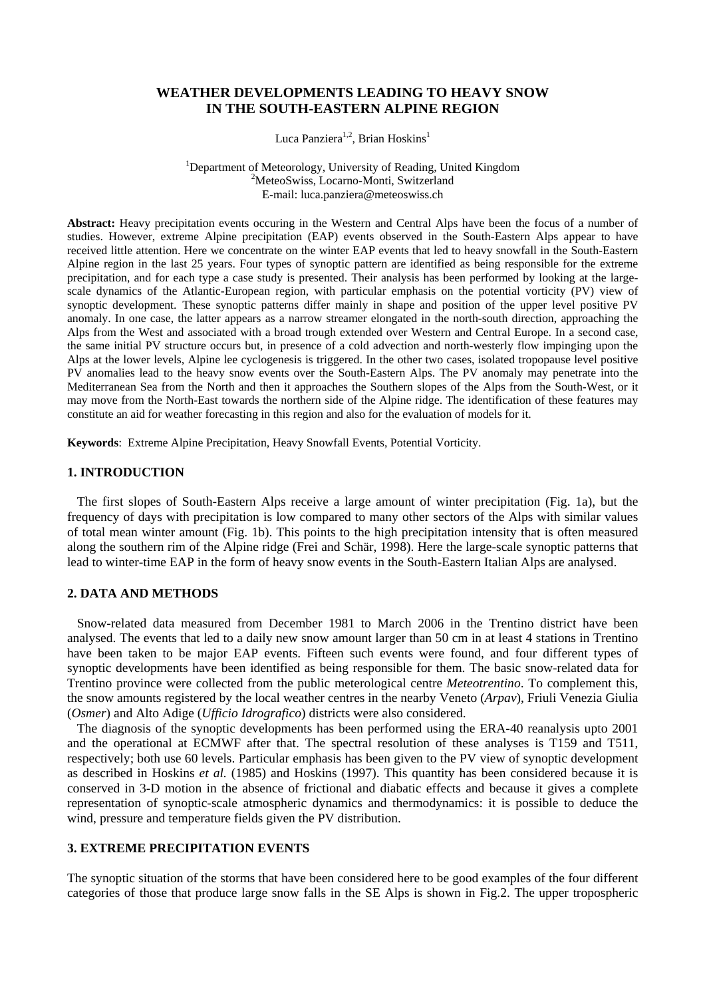# **WEATHER DEVELOPMENTS LEADING TO HEAVY SNOW IN THE SOUTH-EASTERN ALPINE REGION**

Luca Panziera<sup>1,2</sup>, Brian Hoskins<sup>1</sup>

<sup>1</sup>Department of Meteorology, University of Reading, United Kingdom <sup>2</sup>Meteo<sup>c</sup>uise, Logerno Monti, Suitzgrland <sup>2</sup>MeteoSwiss, Locarno-Monti, Switzerland E-mail: [luca.panziera@meteoswiss.ch](mailto:lucapanziera@meteoswiss.ch)

**Abstract:** Heavy precipitation events occuring in the Western and Central Alps have been the focus of a number of studies. However, extreme Alpine precipitation (EAP) events observed in the South-Eastern Alps appear to have received little attention. Here we concentrate on the winter EAP events that led to heavy snowfall in the South-Eastern Alpine region in the last 25 years. Four types of synoptic pattern are identified as being responsible for the extreme precipitation, and for each type a case study is presented. Their analysis has been performed by looking at the largescale dynamics of the Atlantic-European region, with particular emphasis on the potential vorticity (PV) view of synoptic development. These synoptic patterns differ mainly in shape and position of the upper level positive PV anomaly. In one case, the latter appears as a narrow streamer elongated in the north-south direction, approaching the Alps from the West and associated with a broad trough extended over Western and Central Europe. In a second case, the same initial PV structure occurs but, in presence of a cold advection and north-westerly flow impinging upon the Alps at the lower levels, Alpine lee cyclogenesis is triggered. In the other two cases, isolated tropopause level positive PV anomalies lead to the heavy snow events over the South-Eastern Alps. The PV anomaly may penetrate into the Mediterranean Sea from the North and then it approaches the Southern slopes of the Alps from the South-West, or it may move from the North-East towards the northern side of the Alpine ridge. The identification of these features may constitute an aid for weather forecasting in this region and also for the evaluation of models for it.

**Keywords**: Extreme Alpine Precipitation, Heavy Snowfall Events, Potential Vorticity.

## **1. INTRODUCTION**

 The first slopes of South-Eastern Alps receive a large amount of winter precipitation (Fig. 1a), but the frequency of days with precipitation is low compared to many other sectors of the Alps with similar values of total mean winter amount (Fig. 1b). This points to the high precipitation intensity that is often measured along the southern rim of the Alpine ridge (Frei and Schär, 1998). Here the large-scale synoptic patterns that lead to winter-time EAP in the form of heavy snow events in the South-Eastern Italian Alps are analysed.

## **2. DATA AND METHODS**

 Snow-related data measured from December 1981 to March 2006 in the Trentino district have been analysed. The events that led to a daily new snow amount larger than 50 cm in at least 4 stations in Trentino have been taken to be major EAP events. Fifteen such events were found, and four different types of synoptic developments have been identified as being responsible for them. The basic snow-related data for Trentino province were collected from the public meterological centre *Meteotrentino*. To complement this, the snow amounts registered by the local weather centres in the nearby Veneto (*Arpav*), Friuli Venezia Giulia (*Osmer*) and Alto Adige (*Ufficio Idrografico*) districts were also considered.

 The diagnosis of the synoptic developments has been performed using the ERA-40 reanalysis upto 2001 and the operational at ECMWF after that. The spectral resolution of these analyses is T159 and T511, respectively; both use 60 levels. Particular emphasis has been given to the PV view of synoptic development as described in Hoskins *et al.* (1985) and Hoskins (1997). This quantity has been considered because it is conserved in 3-D motion in the absence of frictional and diabatic effects and because it gives a complete representation of synoptic-scale atmospheric dynamics and thermodynamics: it is possible to deduce the wind, pressure and temperature fields given the PV distribution.

## **3. EXTREME PRECIPITATION EVENTS**

The synoptic situation of the storms that have been considered here to be good examples of the four different categories of those that produce large snow falls in the SE Alps is shown in Fig.2. The upper tropospheric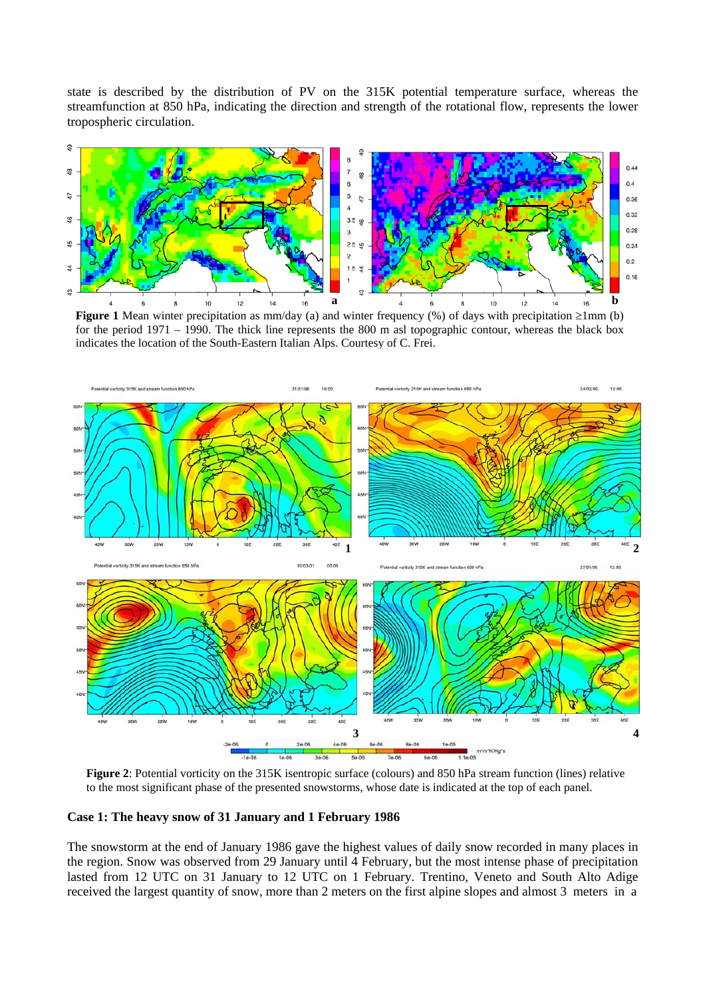state is described by the distribution of PV on the 315K potential temperature surface, whereas the streamfunction at 850 hPa, indicating the direction and strength of the rotational flow, represents the lower tropospheric circulation.



**Figure 1** Mean winter precipitation as mm/day (a) and winter frequency (%) of days with precipitation ≥1mm (b) for the period 1971 – 1990. The thick line represents the 800 m asl topographic contour, whereas the black box indicates the location of the South-Eastern Italian Alps. Courtesy of C. Frei.



 **Figure 2**: Potential vorticity on the 315K isentropic surface (colours) and 850 hPa stream function (lines) relative to the most significant phase of the presented snowstorms, whose date is indicated at the top of each panel.

**Case 1: The heavy snow of 31 January and 1 February 1986** 

The snowstorm at the end of January 1986 gave the highest values of daily snow recorded in many places in the region. Snow was observed from 29 January until 4 February, but the most intense phase of precipitation lasted from 12 UTC on 31 January to 12 UTC on 1 February. Trentino, Veneto and South Alto Adige received the largest quantity of snow, more than 2 meters on the first alpine slopes and almost 3 meters in a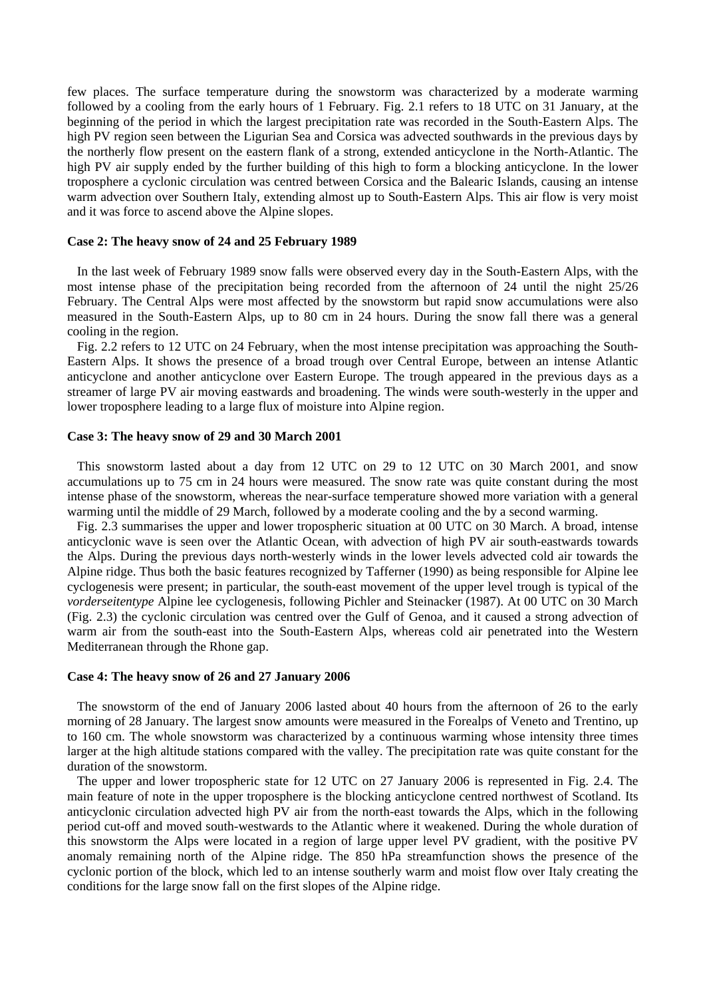few places. The surface temperature during the snowstorm was characterized by a moderate warming followed by a cooling from the early hours of 1 February. Fig. 2.1 refers to 18 UTC on 31 January, at the beginning of the period in which the largest precipitation rate was recorded in the South-Eastern Alps. The high PV region seen between the Ligurian Sea and Corsica was advected southwards in the previous days by the northerly flow present on the eastern flank of a strong, extended anticyclone in the North-Atlantic. The high PV air supply ended by the further building of this high to form a blocking anticyclone. In the lower troposphere a cyclonic circulation was centred between Corsica and the Balearic Islands, causing an intense warm advection over Southern Italy, extending almost up to South-Eastern Alps. This air flow is very moist and it was force to ascend above the Alpine slopes.

#### **Case 2: The heavy snow of 24 and 25 February 1989**

 In the last week of February 1989 snow falls were observed every day in the South-Eastern Alps, with the most intense phase of the precipitation being recorded from the afternoon of 24 until the night 25/26 February. The Central Alps were most affected by the snowstorm but rapid snow accumulations were also measured in the South-Eastern Alps, up to 80 cm in 24 hours. During the snow fall there was a general cooling in the region.

 Fig. 2.2 refers to 12 UTC on 24 February, when the most intense precipitation was approaching the South-Eastern Alps. It shows the presence of a broad trough over Central Europe, between an intense Atlantic anticyclone and another anticyclone over Eastern Europe. The trough appeared in the previous days as a streamer of large PV air moving eastwards and broadening. The winds were south-westerly in the upper and lower troposphere leading to a large flux of moisture into Alpine region.

## **Case 3: The heavy snow of 29 and 30 March 2001**

 This snowstorm lasted about a day from 12 UTC on 29 to 12 UTC on 30 March 2001, and snow accumulations up to 75 cm in 24 hours were measured. The snow rate was quite constant during the most intense phase of the snowstorm, whereas the near-surface temperature showed more variation with a general warming until the middle of 29 March, followed by a moderate cooling and the by a second warming.

 Fig. 2.3 summarises the upper and lower tropospheric situation at 00 UTC on 30 March. A broad, intense anticyclonic wave is seen over the Atlantic Ocean, with advection of high PV air south-eastwards towards the Alps. During the previous days north-westerly winds in the lower levels advected cold air towards the Alpine ridge. Thus both the basic features recognized by Tafferner (1990) as being responsible for Alpine lee cyclogenesis were present; in particular, the south-east movement of the upper level trough is typical of the *vorderseitentype* Alpine lee cyclogenesis, following Pichler and Steinacker (1987). At 00 UTC on 30 March (Fig. 2.3) the cyclonic circulation was centred over the Gulf of Genoa, and it caused a strong advection of warm air from the south-east into the South-Eastern Alps, whereas cold air penetrated into the Western Mediterranean through the Rhone gap.

#### **Case 4: The heavy snow of 26 and 27 January 2006**

 The snowstorm of the end of January 2006 lasted about 40 hours from the afternoon of 26 to the early morning of 28 January. The largest snow amounts were measured in the Forealps of Veneto and Trentino, up to 160 cm. The whole snowstorm was characterized by a continuous warming whose intensity three times larger at the high altitude stations compared with the valley. The precipitation rate was quite constant for the duration of the snowstorm.

 The upper and lower tropospheric state for 12 UTC on 27 January 2006 is represented in Fig. 2.4. The main feature of note in the upper troposphere is the blocking anticyclone centred northwest of Scotland. Its anticyclonic circulation advected high PV air from the north-east towards the Alps, which in the following period cut-off and moved south-westwards to the Atlantic where it weakened. During the whole duration of this snowstorm the Alps were located in a region of large upper level PV gradient, with the positive PV anomaly remaining north of the Alpine ridge. The 850 hPa streamfunction shows the presence of the cyclonic portion of the block, which led to an intense southerly warm and moist flow over Italy creating the conditions for the large snow fall on the first slopes of the Alpine ridge.